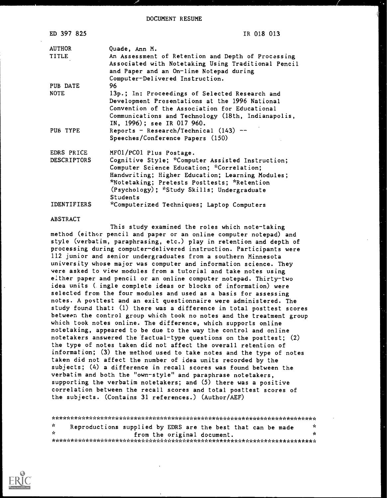DOCUMENT RESUME

| ED 397 825                       | IR 018 013                                                                                                                                                                                                                            |
|----------------------------------|---------------------------------------------------------------------------------------------------------------------------------------------------------------------------------------------------------------------------------------|
| <b>AUTHOR</b><br><b>TITLE</b>    | Quade, Ann M.<br>An Assessment of Retention and Depth of Processing<br>Associated with Notetaking Using Traditional Pencil<br>and Paper and an On-line Notepad during<br>Computer-Delivered Instruction.                              |
| PUB DATE                         | 96.                                                                                                                                                                                                                                   |
| <b>NOTE</b>                      | 13p.; In: Proceedings of Selected Research and<br>Development Presentations at the 1996 National<br>Convention of the Association for Educational<br>Communications and Technology (18th, Indianapolis,<br>IN, 1996); see IR 017 960. |
| PUB TYPE                         | Reports - Research/Technical $(143)$ --<br>Speeches/Conference Papers (150)                                                                                                                                                           |
| EDRS PRICE<br><b>DESCRIPTORS</b> | MF01/PC01 Plus Postage.<br>Cognitive Style; *Computer Assisted Instruction;                                                                                                                                                           |
|                                  | Computer Science Education; *Correlation;<br>Handwriting; Higher Education; Learning Modules;<br>*Notetaking; Pretests Posttests; *Retention<br>(Psychology); *Study Skills; Undergraduate<br>Students                                |
| <b>IDENTIFIERS</b>               | *Computerized Techniques; Laptop Computers                                                                                                                                                                                            |

#### ABSTRACT

This study examined the roles which note-taking method (either pencil and paper or an online computer notepad) and style (verbatim, paraphrasing, etc.) play in retention and depth of processing during computer-delivered instruction. Participants were 112 junior and senior undergraduates from a southern Minnesota university whose major was computer and information science. They were asked to view modules from a tutorial and take notes using e:ther paper and pencil or an online computer notepad. Thirty-two idea units ( ingle complete ideas or blocks of information) were selected from the four modules and used as a basis for assessing notes. A posttest and an exit questionnaire were administered. The study found that: (1) there was a difference in total posttest scores between the control group which took no notes and the treatment group which took notes online. The difference, which supports online notetaking, appeared to be due to the way the control and online notetakers answered the factual-type questions on the posttest; (2) the type of notes taken did not affect the overall retention of information; (3) the method used to take notes and the type of notes taken did not affect the number of idea units recorded by the subjects; (4) a difference in recall scores was found between the verbatim and both the "own-style" and paraphrase notetakers, supporting the verbatim notetakers; and (5) there was a positive correlation between the recall scores and total posttest scores of the subjects. (Contains 31 references.) (Author/AEF)

\*\*\*\*\*\*\*\*\*\*\*\*\*\*\*\*\*\*\*\*\*\*\*\*\*\*\*\*\*\*\*\*\*\*\*\*\*\*\*\*\*\*\*\*\*\*\*\*\*\*\*\*\*\*\*\*\*\*\*\*\*\*\*\*\*\*\*\*\*\*\*  $\mathbf{r}$ Reproductions supplied by EDRS are the best that can be made  $\frac{1}{x}$ from the original document. \*\*\*\*\*\*\*\*\*\*\*\*\*\*\*\*\*\*\*\*\*\*\*\*\*\*\*\*\*\*\*\*\*\*\*\*\*\*\*\*\*\*\*\*\*\*\*\*\*\*\*\*\*\*\*\*\*\*\*\*\*\*\*\*\*\*\*\*\*\*\*

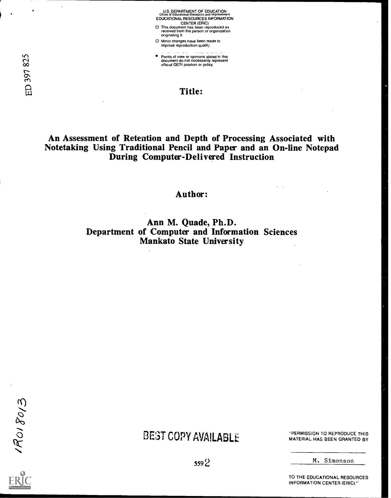U.S. DEPARTMENT OF EDUCATION Office of Educational Research and Improvement EDUCATIONAL RESOURCES INFORMATION

- CENTER (ERIC) O This document has been reproduced as received from the person or organization originating it.
- O Minor changes have been made to improve reproduction qualki.
- **P** Points of view or opinions stated in this of view or opinions stated in this document do not necessarily represent<br>
deficial OERI position or policy<br>
official OERI position or policy

## $\boxdot$  is the contract of the contract of  $\bf{Title:}$

# An Assessment of Retention and Depth of Processing Associated with Notetaking Using Traditional Pencil and Paper and an On-line Notepad During Computer-Delivered Instruction

### Author:

### Ann M. Quade, Ph.D. Department of Computer and Information Sciences Mankato State University

1R018013

# BE3T COPY AVAILABLE

"PERMISSION TO REPRODUCE THIS MATERIAL HAS BEEN GRANTED BY

M. Simonsoti

TO THE EDUCATIONAL RESOURCES INFORMATION CENTER (ERIC)."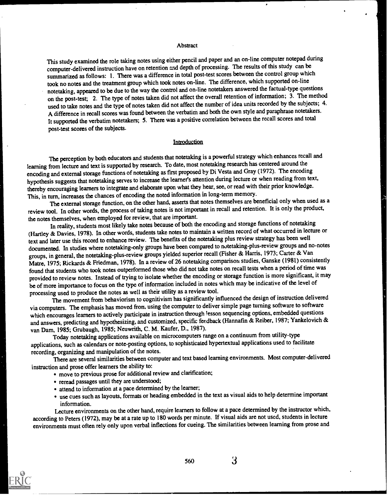#### **Abstract**

This study examined the role taking notes using either pencil and paper and an on-line computer notepad during computer-delivered instruction have on retention and depth of processing. The results of this study can be summarized as follows: 1. There was a difference in total post-test scores between the control group which took no notes and the treatment group which took notes on-line. The difference, which supported on-line notetaking, appeared to be due to the way the control and on-line notetakers answered the factual-type questions on the post-test; 2. The type of notes taken did not affect the overall retention of information; 3. The method used to take notes and the type of notes taken did not affect the number of idea units recorded by the subjects; 4. A difference in recall scores was found between the verbatim and both the own style and paraphrase notetakers. It supported the verbatim notetakers; 5. There was a positive correlation between the recall scores and total post-test scores of the subjects.

#### Introduction

The perception by both educators and students that notetaking is a powerful strategy which enhances recall and learning from lecture and text is supported by research. To date, most notetaking research has centered around the encoding and external storage functions of notetaking as first proposed by Di Vesta and Gray (1972). The encoding hypothesis suggests that notetaking serves to increase the learner's attention during lecture or when reading from text, thereby encouraging learners to integrate and elaborate upon what they hear, see, or read with their prior knowledge. This, in turn, increases the chances of encoding the noted information in long-term memory.

The external storage function, on the other hand, asserts that notes themselves are beneficial only when used as a review tool. In other words, the process of taking notes is not important in recall and retention. It is only the product, the notes themselves, when employed for review, that are important.

In reality, students most likely take notes because of both the encoding and storage functions of notetaking (Hartley & Davies, 1978). In other words, students take notes to maintain a written record of what occurred in lecture or text and later use this record to enhance review. The benefits of the notetaking plus review strategy has been well documented. In studies where notetaking-only groups have been compared to notetaking-plus-review groups and no-notes groups, in general, the notetaking-plus-review groups yielded superior recall (Fisher & Harris, 1973; Carter & Van Matre, 1975; Rickards & Friedman, 1978). In a review of 26 notetaking comparison studies, Ganske (1981) consistently found that students who took notes outperformed those who did not take notes on recall tests when a period of time was provided to review notes. Instead of trying to isolate whether the encoding or storage function is more significant, it may be of more importance to focus on the type of information included in notes which may be indicative of the level of processing used to produce the notes as well as their utility as a review tool.

The movement from behaviorism to cognitivism has significantly influenced the design of instruction delivered via computers. The emphasis has moved from using the computer to deliver simple page turning software to software which encourages learners to actively participate in instruction through lesson sequencing options, embedded questions and answers, predicting and hypothesizing, and customized, specific fer dback (Hannafin & Reiber, 1987; Yankelovich & van Dam, 1985; Grubaugh, 1985; Neuwrith, C. M. Kaufer, D., 1987).

Today notetaking applications available on microcomputers range on a continuum from utility-type applications, such as calendars or note-posting options, to sophisticated hypertextual applications used to facilitate recording, organizing and manipulation of the notes.

There are several similarities between computer and text based learning environments. Most computer-delivered instruction and prose offer learners the ability to:

- move to previous prose for additional review and clarification;
- reread passages until they are understood;
- attend to information at a pace determined by the learner;
- use cues such as layouts, formats or heading embedded in the text as visual aids to help determine important information.

Lecture environments on the other hand, require learners to follow at a pace determined by the instructor which, according to Peters (1972), may be at a rate up to 180 words per minute. If visual aids are not used, students in lecture environments must often rely only upon verbal inflections for cueing. The similarities between learning from prose and

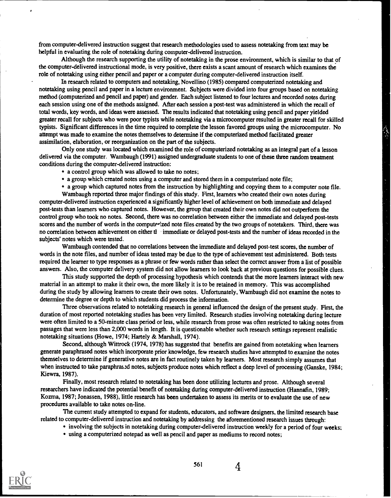from computer-delivered instruction suggest that research methodologies used to assess notetaking from text may be helpful in evaluating the role of notetaking during computer-delivered instruction.

Although the research supporting the utility of notetaking in the prose environment, which is similar to that of the computer-delivered instructional mode, is very positive, there exists a scant amount of research which examines the role of notetaking using either pencil and paper or a computer during computer-delivered instruction itself.

In research related to computers and notetaking, Novellino (1985) compared computerized notetaking and notetaking using pencil and paper in a lecture environment. Subjects were divided into four groups based on notetaking method (computerized and pencil and paper) and gender. Each subject listened to four lectures and recorded notes during each session using one of the methods assigned. After each session a post-test was administered in which the recall of total words, key words, and ideas were assessed. The results indicated that notetaking using pencil and paper yielded greater recall for subjects who were poor typists while notetaking via a microcomputer resulted in greater recall for skilled typists. Significant differences in the time required to complete the lesson favored groups using the microcomputer. No attempt was made to examine the notes themselves to determine if the computerized method facilitated greater assimilation, elaboration, or reorganization on the part of the subjects.

Only one study was located which examined the role of computerized notetaking as an integral part of a lesson delivered via the computer. Wambaugh (1991) assigned undergraduate students to one of these three random treatment conditions during the computer-delivered instruction:

- a control group which was allowed to take no notes;
- a group which created notes using a computer and stored them in a computerized note file;
- a group which captured notes from the instruction by highlighting and copying them to a computer note file.

Wambaugh reported three major findings of this study. First, learners who created their own notes during computer-delivered instruction experienced a significantly higher level of achievement on both immediate and delayed post-tests than learners who captured notes. However, the group that created their own notes did not outperform the control group who took no notes. Second, there was no correlation between either the immediate and delayed post-tests scores and the number of words in the computerized note files created by the two groups of notetakers. Third, there was no correlation between achievement on either tl immediate or delayed post-tests and the number of ideas recorded in the subjects' notes which were tested.

Wambaugh contended that no correlations between the immediate and delayed post-test scores, the number of words in the note files, and number of ideas tested may be due to the type of achievement test administered. Both tests required the learner to type responses as a phrase or few words rather than select the correct answer from a list of possible answers. Also, the computer delivery system did not allow learners to look back at previous questions for possible clues.

This study supported the depth of processing hypothesis which contends that the more learners interact with new material in an attempt to make it their own, the more likely it is to be retained in memory. This was accomplished during the study by allowing learners to create their own notes. Unfortunately, Warnbaugh did not examine the notes to determine the degree or depth to which students did process the information.

Three observations related to notetaking research in general influenced the design of the present study. First, the duration of most reported notetaking studies has been very limited. Research studies involving notetaking during lecture were often limited to a 50-minute class period or less, while research from prose was often restricted to taking notes from passages that were less than 2,000 words in length. It is questionable whether such research settings represent realistic notetaking situations (Howe, 1974; Hartely & Marshall, 1974).

Second, although Wittrock (1974, 1978) has suggested that benefits are gained from notetaking when learners generate paraphrased notes which incorporate prior knowledge, few research studies have attempted to examine the notes themselves to determine if generative notes are in fact routinely taken by learners. Most research simply assumes that when instructed to take paraphras.ed notes, subjects produce notes which reflect a deep level of processing (Ganske, 1984; Kiewra, 1987).

Finally, most research related to notetaking has been done utilizing lectures and prose. Although several researchers have indicated the potential benefit of notetaking during computer-delivered instruction (Hannafin, 1989; Kozma, 1987; Jonassen, 1988), little research has been undertaken to assess its merits or to evaluate the use of new procedures available to take notes on-line.

The current study attempted to expand for students, educators, and software designers, the limited research base related to computer-delivered instruction and notetaking by addressing the aforementioned research issues through:

- involving the subjects in notetaking during computer-delivered instruction weekly for a period of four weeks;
	- using a computerized notepad as well as pencil and paper as mediums to record notes;



561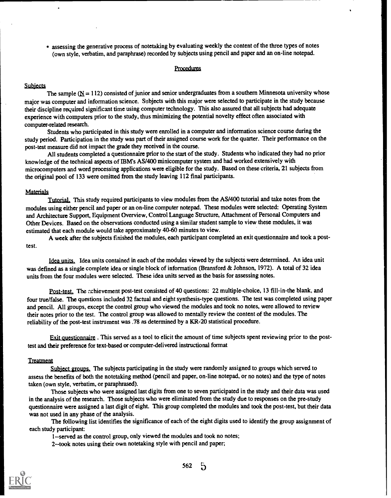assessing the generative process of notetaking by evaluating weekly the content of the three types of notes (own style, verbatim, and paraphrase) recorded by subjects using pencil and paper and an on-line notepad.

#### Procedures

#### **Subjects**

The sample  $(N = 112)$  consisted of junior and senior undergraduates from a southern Minnesota university whose major was computer and information science. Subjects with this major were selected to participate in the study because their discipline required significant time using computer technology. This also assured that all subjects had adequate experience with computers prior to the study, thus minimizing the potential novelty effect often associated with computer-related research.

Students who participated in this study were enrolled in a computer and information science course during the study period. Participation in the study was part of their assigned course work for the quarter. Their performance on the post-test measure did not impact the grade they received in the course.

All students completed a questionnaire prior to the start of the study. Students who indicated they had no prior knowledge of the technical aspects of IBM's AS/400 minicomputer system and had worked extensively with microcomputers and word processing applications were eligible for the study. Based on these criteria, 21 subjects from the original pool of 133 were omitted from the study leaving 112 final participants.

#### Materials

Tutorial, This study required participants to view modules from the AS/400 tutorial and take notes from the modules using either pencil and paper or an on-line computer notepad. These modules were selected: Operating System and Architecture Support, Equipment Overview, Control Language Structure, Attachment of Personal Computers and Other Devices. Based on the observations conducted using a similar student sample to view these modules, it was estimated that each module would take approximately 40-60 minutes to view.

A week after the subjects finished the modules, each participant completed an exit questionnaire and took a posttest.

Idea units, Idea units contained in each of the modules viewed by the subjects were determined. An idea unit was defined as a single complete idea or single block of information (Bransford & Johnson, 1972). A total of 32 idea units from the four modules were selected. These idea units served as the basis for assessing notes.

Post-test. The nchievement post-test consisted of 40 questions: 22 multiple-choice, 13 fill-in-the blank, and four true/false. The questions included 32 factual and eight synthesis-type questions. The test was completed using paper and pencil. All groups, except the control group who viewed the modules and took no notes, were allowed to review their notes prior to the test. The control group was allowed to mentally review the content of the modules. The reliability of the post-test instrument was .78 as determined by a KR-20 statistical procedure.

Exit questionnaire . This served as a tool to elicit the amount of time subjects spent reviewing prior to the posttest and their preference for text-based or computer-delivered instructional format

#### **Treatment**

Subject groups. The subjects participating in the study were randomly assigned to groups which served to assess the benefits of both the notetaking method (pencil and paper, on-line notepad, or no notes) and the type of notes taken (own style, verbatim, or paraphrased).

Those subjects who were assigned last digits from one to seven participated in the study and their data was used in the analysis of the research. Those subjects who were eliminated from the study due to responses on the pre-study questionnaire were assigned a last digit of eight. This group completed the modules and took the post-test, but their data was not used in any phase of the analysis.

The following list identifies the significance of each of the eight digits used to identify the group assignment of each study participant:

1--served as the control group, only viewed the modules and took no notes;

2--took notes using their own notetaking style with pencil and paper;

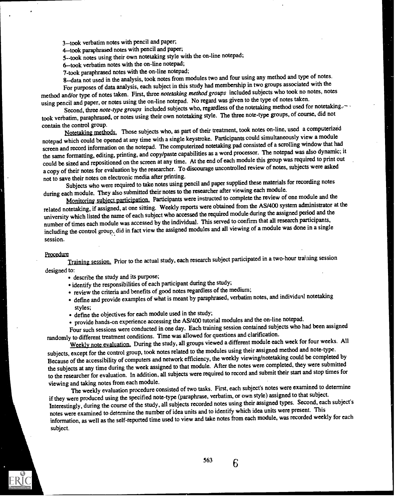3-took verbatim notes with pencil and paper;

4-took paraphrased notes with pencil and paper;

5--took notes using their own notetaking style with the on-line notepad;

6-took verbatim notes with the on-line notepad;

7-took paraphrased notes with the on-line notepad;

8--data not used in the analysis, took notes from modules two and four using any method and type of notes.

For purposes of data analysis, each subject in this study had membership in two groups associated with the method and/or type of notes taken. First, three notetaking method groups included subjects who took no notes, notes using pencil and paper, or notes using the on-line notepad. No regard was given to the type of notes taken.

Second, three note-type groups included subjects who, regardless of the notetaking method used for notetaking,. took verbatim, paraphrased, or notes using their own notetaking style. The three note-type groups, of course, did not

contain the control group. Notetaking methods. Those subjects who, as part of their treatment, took notes on-line, used a computerized notepad which could be opened at any time with a single keystroke. Participants could simultaneously view a module screen and record information on the notepad. The computerized notetaking pad consisted of a scrolling window that had the same formatting, editing, printing, and copy/paste capabilities as a word processor. The notepad was also dynamic; it could be sized and repositioned on the screen at any time. At the end of each module this group was required to print out a copy of their notes for evaluation by the researcher. To discourage uncontrolled review of notes, subjects were asked not to save their notes on electronic media after printing.

Subjects who were required to take notes using pencil and paper supplied these materials for recording notes during each module. They also submitted their notes to the researcher after viewing each module.

Monitoring subject participation. Participants were instructed to complete the review of one module and the related notetaking, if assigned, at one sitting. Weekly reports were obtained from the AS/400 system administrator at the university which listed the name of each subject who accessed the required module during the assigned period and the number of times each module was accessed by the individual. This served to confirm that all research participants, including the control group, did in fact view the assigned modules and all viewing of amodule was done in a single session.

Procedure<br>Training session. Prior to the actual study, each research subject participated in a two-hour training session designed to:

- describe the study and its purpose;
- $\bullet$  identify the responsibilities of each participant during the study;
- review the criteria and benefits of good notes regardless of the medium;
- define and provide examples of what is meant by paraphrased, verbatim notes, and individual notetaking styles;
- define the objectives for each module used in the study;
- provide hands-on experience accessing the AS/400 tutorial modules and the on-line notepad.

Four such sessions were conducted in one day. Each training session contained subjects who had been assigned randomly to different treatment conditions. Time was allowed for questions and clarification.

Weekly note evaluation. During the study, all groups viewed a different module each week for four weeks. All subjects, except for the control group, took notes related to the modules using their assigned method and note-type. Because of the accessibility of computers and network efficiency, the weekly viewing/notetaking could be completed by the subjects at any time during the week assigned to that module. After the notes were completed, they were submitted to the researcher for evaluation. In addition, all subjects were required to record and submit their start and stop times for viewing and taking notes from each module.

The weekly evaluation procedure consisted of two tasks. First, each subject's notes were examined to determine if they were produced using the specified note-type (paraphrase, verbatim, or own style) assigned to that subject. Interestingly, during the course of the study, all subjects recorded notes using their assigned types. Second, each subject's notes were examined to determine the number of idea units and to identify which idea units were present. This information, as well as the self-reported time used to view and take notes from each module, was recorded weekly for each subject.



563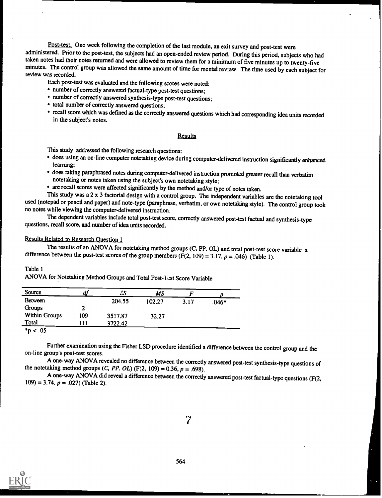Post-test, One week following the completion of the last module, an exit survey and post-test were administered. Prior to the post-test, the subjects had an open-ended review period. During this period, subjects who had taken notes had their notes returned and were allowed to review them for a minimum of five minutes up to twenty-five minutes. The control group was allowed the same amount of time for mental review. The time used by each subject for review was recorded.

Each post-test was evaluated and the following scores were noted:

- number of correctly answered factual-type post-test questions;
- number of correctly answered synthesis-type post-test questions;
- total number of correctly answered questions;
- recall score which was defined as the correctly answered questions which had corresponding idea units recorded in the subject's notes.

#### Results

This study addressed the following research questions:

- does using an on-line computer notetaking device during computer-delivered instruction significantly enhanced learning;
- does taking paraphrased notes during computer-delivered instruction promoted greater recall than verbatim notetaking or notes taken using the subject's own notetaking style;
- are recall scores were affected significantly by the method and/or type of notes taken.

This study was a 2 x 3 factorial design with a control group. The independent variables are the notetaking tool used (notepad or pencil and paper) and note-type (paraphrase, verbatim, or own notetaking style). The control group took no notes while viewing the computer-delivered instruction.

The dependent variables include total post-test score, correctly answered post-test factual and synthesis-type questions, recall score, and number of idea units recorded.

#### Results Related to Research Ouestion 1

The results of an ANOVA for notetaking method groups (C, PP, OL) and total post-test score variable a difference between the post-test scores of the group members  $(F(2, 109) = 3.17, p = .046)$  (Table 1).

#### Table 1

ANOVA for Notetaking Method Groups and Total Post-Test Score Variable

| df  | SS      | MS     |       |         |
|-----|---------|--------|-------|---------|
|     | 204.55  | 102.27 | 3.17  | $.046*$ |
|     |         |        |       |         |
| 109 | 3517.87 |        |       |         |
| 11  | 3722.42 |        |       |         |
|     |         |        | 32.27 |         |

 $*_{p}$  < .05

Further examination using the Fisher LSD procedure identified a difference between the control group and the on-line group's post-test scores.

A one-way ANOVA revealed no difference between the correctly answered post-test synthesis-type questions of the notetaking method groups (C, PP, OL) (F(2, 109) = 0.36,  $p = .698$ ).

A one-way ANOVA did reveal a difference between the correctly answered post-test factual-type questions (F(2, 109) = 3.74,  $p = .027$ ) (Table 2).



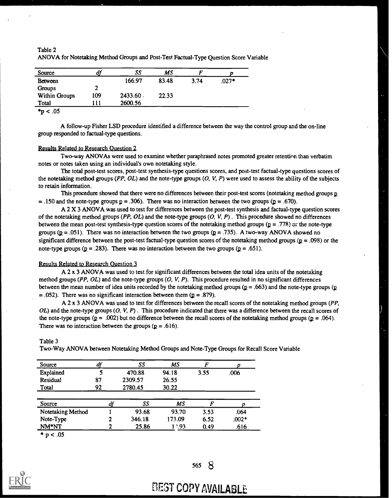| Table 2                                                                               |  |
|---------------------------------------------------------------------------------------|--|
| ANOVA for Notetaking Method Groups and Post-Test Factual-Type Question Score Variable |  |

| Source         | u    | SS       | MS    |      |         |
|----------------|------|----------|-------|------|---------|
| <b>Between</b> |      | 166.97   | 83.48 | 3.74 | $.027*$ |
| Groups         | 2    |          |       |      |         |
| Within Groups  | 109  | 2433.60. | 22.33 |      |         |
| Total          | i 11 | 2600.56  |       |      |         |
| $*_{p}$ < .05  |      |          |       |      |         |

A follow-up Fisher LSD procedure identified a difference between the way the control group and the on-line group responded to factual-type questions.

#### Results Related to Research Question 2

Two-way ANOVAs were used to examine whether paraphrased notes promoted greater retention than verbatim notes or notes taken using an individual's own notetaking style.

The total post-test scores, post-test synthesis-type questions scores, and post-test factual-type questions scores of the notetaking method groups (PP, OL) and the note-type groups  $(O, V, P)$  were used to assess the ability of the subjects to retain information.

This procedure showed that there were no differences between their post-test scores (notetaking method groups p  $= .150$  and the note-type groups  $p = .306$ ). There was no interaction between the two groups ( $p = .670$ ).

A 2 X 3 ANOVA was used to test for differences between the post-test synthesis and factual-type question scores of the notetaking method groups ( $PP$ ,  $OL$ ) and the note-type groups ( $O$ ,  $V$ ,  $P$ ). This procedure showed no differences between the mean post-test synthesis-type question scores of the notetaking method groups ( $p = .778$ ) or the note-type groups ( $p = .051$ ). There was no interaction between the two groups ( $p = .735$ ). A two-way ANOVA showed no significant difference between the post-test factual-type question scores of the notetaking method groups ( $p = .098$ ) or the note-type groups ( $p = .283$ ). There was no interaction between the two groups ( $p = .651$ ).

#### Results Related to Research Question 3

A 2 x 3 ANOVA was used to test for significant differences between the total idea units of the notetaking method groups (PP, OL) and the note-type groups  $(O, V, P)$ . This procedure resulted in no significant differences between the mean number of idea units recorded by the notetaking method groups ( $p = .663$ ) and the note-type groups (p  $= .052$ ). There was no significant interaction between them ( $p = .879$ ).

A 2 x 3 ANOVA was used to test for differences between the recall scores of the notetaking method groups (PP.  $OL$ ) and the note-type groups  $(O, V, P)$ . This procedure indicated that there was a difference between the recall scores of the note-type groups ( $p = .002$ ) but no difference between the recall scores of the notetaking method groups ( $p = .064$ ). There was no interaction between the groups ( $p = .616$ ).

| Source            |    | SS      | MS        | F    |         |
|-------------------|----|---------|-----------|------|---------|
| Explained         | 5  | 470.88  | 94.18     | 3.55 | .006    |
| Residual          | 87 | 2309.57 | 26.55     |      |         |
| Total             | 92 | 2780.45 | 30.22     |      |         |
|                   |    |         |           |      |         |
| Source            |    | SS      | MS        | r    |         |
| Notetaking Method |    | 93.68   | 93.70     | 3.53 | .064    |
| Note-Type         | 2  | 346.18  | 173.09    | 6.52 | $.002*$ |
| NM*NT             |    | 25.86   | $^{+.93}$ | 0.49 | .616    |
| $*$ p < .05       |    |         |           |      |         |

Table 3

Two-Way ANOVA between Notetaking Method Groups and Note-Type Groups for Recall Score Variable



565 8

# BEST COPY AVAILABLE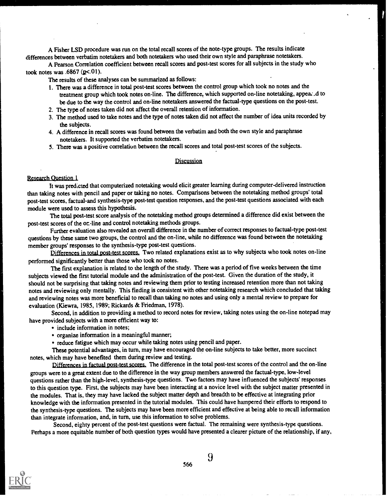A Fisher LSD procedure was run on the total recall scores of the note-type groups. The results indicate differences between verbatim notetakers and both notetakers who used their own style and paraphrase notetakers.

A Pearson Correlation coefficient between recall scores and post-test scores for all subjects in the study who took notes was .6867 (p<.01).

The results of these analyses can be summarized as follows:

- 1. There was a difference in total post-test scores between the control group which took no notes and the treatment group which took notes on-line. The difference, which supported on-line notetaking, appeared to be due to the way the control and on-line notetakers answered the factual-type questions on the post-test.
- 2. The type of notes taken did not affect the overall retention of information.
- 3. The method used to take notes and the type of notes taken did not affect the number of idea units recorded by the subjects.
- 4. A difference in recall scores was found between the verbatim and both the own style and paraphrase notetakers. It supported the verbatim notetakers.
- 5. There was a positive correlation between the recall scores and total post-test scores of the subjects.

### **Discussion**

#### Research Ouestion 1

It was predicted that computerized notetaking would elicit greater learning during computer-delivered instruction than taking notes with pencil and paper or taking no notes. Comparisons between the notetaking method groups' total post-test scores, factual-and synthesis-type post-test question responses, and the post-test questions associated with each module were used to assess this hypothesis.

The total post-test score analysis of the notetaking method groups determined a difference did exist between the post-test scores of the or.-line and control notetaking methods groups.

Further evaluation also revealed an overall difference in the number of correct responses to factual-type post-test questions by these same two groups, the control and the on-line, while no difference was found between the notetaking member groups' responses to the synthesis-type post-test questions.

Differences in total post-test scores, Two related explanations exist as to why subjects who took notes on-line performed significantly better than those who took no notes.

The first explanation is related to the length of the study. There was a period of five weeks between the time subjects viewed the first tutorial module and the administration of the post-test. Given the duration of the study, it should not be surprising that taking notes and reviewing them prior to testing increased retention more than not taking notes and reviewing only mentally. This finding is consistent with other notetaking research which concluded that taking and reviewing notes was more beneficial to recall than taking no notes and using only a mental review to prepare for evaluation (Kiewra, 1985, 1989; Rickards & Friedman, 1978).

Second, in addition to providing a method to record notes for review, taking notes using the on-line notepad may have provided subjects with a more efficient way to:

- include information in notes;
- organize information in a meaningful manner;
- reduce fatigue which may occur while taking notes using pencil and paper.

These potential advantages, in turn, may have encouraged the on-line subjects to take better, more succinct notes, which may have benefited them during review and testing.

Differences in factual post-test scores, The difference in the total post-test scores of the control and the on-line groups were to a great extent due to the difference in the way group members answered the factual-type, low-level questions rather than the high-level, synthesis-type questions. Two factors may have influenced the subjects' responses to this question type. First, the subjects may have been interacting at a novice level with the subject matter presented in the modules. That is, they may have lacked the subject matter depth and breadth to be effective at integrating prior knowledge with the information presented in the tutorial modules. This could have hampered their efforts to respond to the synthesis-type questions. The subjects may have been more efficient and effective at being able to recall information than integrate information, and, in turn, use this information to solve problems.

Second, eighty percent of the post-test questions were factual. The remaining were synthesis-type questions. Perhaps a more equitable number of both question types would have presented a clearer picture of the relationship, if any,



566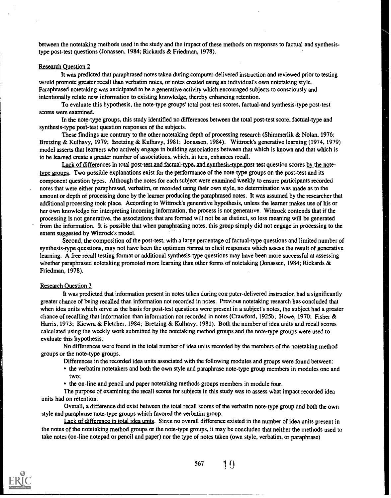between the notetaking methods used in the study and the impact of these methods on responses to factual and synthesistype post-test questions (Jonassen, 1984; Rickards & Friedman, 1978).

#### Research Question 2

It was predicted that paraphrased notes taken during computer-delivered instruction and reviewed prior to testing would promote greater recall than verbatim notes, or notes created using an individual's own notetaking style. Paraphrased notetaking was anticipated to be a generative activity which encouraged subjects to consciously and intentionally relate new information to existing knowledge, thereby enhancing retention.

To evaluate this hypothesis, the note-type groups total post-test scores, factual-and synthesis-type post-test scores were examined.

In the note-type groups, this study identified no differences between the total post-test score, factual-type and synthesis-type post-test question responses of the subjects.

These findings are contrary to the other notetaking depth of processing research (Shimmerlik & Nolan, 1976; Bretzing & Kulhavy, 1979; bretzing & Kulhavy, 1981; Jonassen, 1984). Wittrock's generative learning (1974, 1979) model asserts that learners who actively engage in building associations between that which is known and that which is to be learned create a greater number of associations, which, in turn, enhances recall.

Lack of differences in total post-test and factual-type, and synthesis-type post-test question scores by the notetype groups. Two possible explanations exist for the performance of the note-type groups on the post-test and its component question types. Although the notes for each subject were examined weekly to ensure panicipants recorded notes that were either paraphrased, verbatim, or recoided using their own style, no determination was made as to the amount or depth of processing done by the learner producing the paraphrased notes. It was assumed by the researcher that additional processing took place. According to Wittrock's generative hypothesis, unless the learner makes use of his or her own knowledge for interpreting incoming information, the process is not generative. Wittrock contends that if the processing is not generative, the associations that are formed will not be as distinct, so less meaning will be generated from the information. It is possible that when paraphrasing notes, this group simply did not engage in processing to the extent suggested by Wittrock's model.

Second, the composition of the post-test, with a large percentage of factual-type questions and limited number of synthesis-type questions, may not have been the optimum format to elicit responses which assess the result of generative learning. A free recall testing format or additional synthesis-type questions may have been more successful at assessing whether paraphrased notetaking promoted more learning than other forms of notetaking (Jonassen, 1984; Rickards & Friedman, 1978).

#### Research Ouestion 3

It was predicted that information present in notes taken during computer-delivered instruction had a significantly greater chance of being recalled than information not recorded in notes. Previous notetaking research has concluded that when idea units which serve as the basis for post-test questions were present in a subject's notes, the subject had a greater chance of recalling that information than information not recorded in notes (Crawford, 1925b; Howe, 1970; Fisher & Harris, 1973; Kiewra & Fletcher, 1984; Bretzing & Kulhavy, 1981). Both the number of idea units and recall scores calculated using the weekly work submitted by the notetaking method groups and the note-type groups were used to evaluate this hypothesis.

No differences were found in the total number of idea units recorded by the members of the notetaking method groups or the note-type groups.

- Differences in the recorded idea units associated with the following modules and groups were found between:
- the verbatim notetakers and both the own style and paraphrase note-type group members in modules one and two;
- the on-line and pencil and paper notetaking methods groups members in module four.

The purpose of examining the recall scores for subjects in this study was to assess what impact recorded idea units had on retention.

Overall, a difference did exist between the total recall scores of the verbatim note-type group and both the own style and paraphrase note-type groups which favored the verbatim group.

Lack of difference in total idea units. Since no overall difference existed in the number of idea units present in the notes of the notetaking method groups or the note-type groups, it may be concludeo that neither the methods used to take notes (on-line notepad or pencil and paper) nor the type of notes taken (own style, verbatim, or paraphrase)



567 1()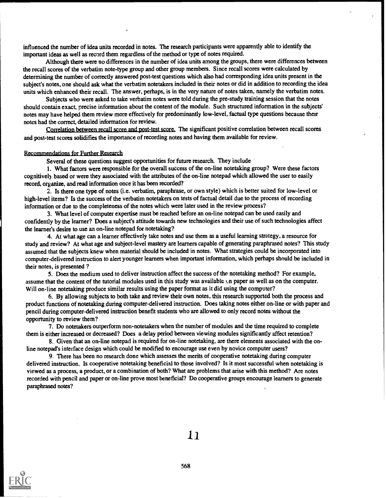influenced the number of idea units recorded in notes. The research participants were apparently able to identify the important ideas as well as record them regardless of the method or type of notes required.

Although there were no differences in the number of idea units among the groups, there were differences between the recall scores of the verbatim note-type group and other group members. Since recall scores were calculated by determining the number of correctly answered post-test questions which also had corresponding idea units present in the subject's notes, one should ask what the verbatim notetakers included in their notes or did in addition to recording the idea units which enhanced their recall. The answer, perhaps, is in the very nature of notes taken, namely the verbatim notes.

Subjects who were asked to take verbatim notes were told during the pre-study training session that the notes should contain exact, precise information about the content of the module. Such structured information in the subjects' notes may have helped them review more effectively for predominantly low-level, factual type questions because their notes had the correct, detailed information for review.

Correlation between recall score and post-test score. The significant positive correlation between recall scores and post-test scores solidifies the importance of recording notes and having them available for review.

#### Recommendations for Further Research

Several of these questions suggest opportunities for future research. They include

1. What factors were responsible for the overall success of the on-line notetaking group? Were these factors cognitively based or were they associated with the attributes of the on-line notepad which allowed the user to easily record, organize, and read information once it has been recorded?

2. Is there one type of notes (i.e. verbatim, paraphrase, or own style) which is better suited for low-level or high-level items? Is the success of the verbatim notetakers on tests of factual detail due to the process of recording information or due to the completeness of the notes which were later used in the review process?

3. What level of computer expertise must be reached before an on-line notepad can be used easily and confidently by the learner? Does a subject's attitude towards new technologies and their use of such technologies affect the learner's desire to use an on-line notepad for notetaking?

4. At what age can a learner effectively take notes and use them as a useful learning strategy, a resource for study and review? At what age and subject-level mastery are learners capable of generating paraphrased notes? This study assumed that the subjects knew when material should be included in notes. What strategies could be incorporated into computer-delivered instruction to alert younger learners when important information, which perhaps should be included in their notes, is presented ?

5. Does the medium used to deliver instruction affect the success of the notetaking method? For example, assume that the content of the tutorial modules used in this study was available  $\epsilon$ n paper as well as on the computer. Will on-line notetaking produce similar results using the paper format as it did using the computer?

6. By allowing subjects to both take and review their own notes, this research supported both the process and product functions of notetaking during computer-delivered instruction. Does taking notes either on-line or with paper and pencil during computer-delivered instruction benefit students who are allowed to only record notes without the opportunity to review them?

7. Do notetakers outperform non-notetakers when the number of modules and the time required to complete them is either increased or decreased? Does a delay period between viewing modules significantly affect retention?

8. Given that an on-line notepad is required for on-line notetaking, are there elements associated with the online notepad's interface design which could be modified to encourage use even by novice computer users?

9. There has been no research done which assesses the merits of cooperative notetaking during computer delivered instruction. Is cooperative notetaking beneficial to those involved? Is it most successful when notetaking is viewed as a process, a product, or a combination of both? What are problems that arise with this method? Are notes recorded with pencil and paper or on-line prove most beneficial? Do cooperative groups encourage learners to generate paraphrased notes?

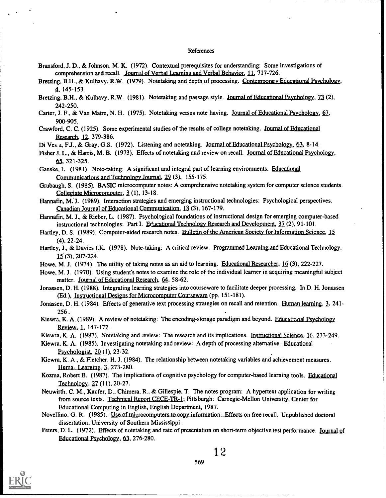#### References

- Bransford, J. D., & Johnson, M. K. (1972). Contextual prerequisites for understanding: Some investigations of comprehension and recall. Journal of Verbal Learning and Verbal Behavior, 11, 717-726.
- Bretzing, B.H., & Kulhavy, R.W. (1979). Notetaking and depth of processing. Contemporary Educational Psychology, 4, 145-153.
- Bretzing, B.H., & Kulhavy, R.W. (1981). Notetaking and passage style. Journal of Educational Psychology, 73 (2), 242-250.
- Carter, J. F., & Van Matre, N. H. (1975). Notetaking versus note having. Journal of Educational Psychology, 67, 900-905.
- Crawford, C. C. (1925). Some experimental studies of the results of college notetaking. Journal of Educational Research, 12, 379-386.
- Di Ves a, F.J., & Gray, G.S. (1972). Listening and notetaking. Journal of Educational Psychology, 63, 8-14.
- Fisher J. L., & Harris, M. B. (1973). Effects of notetaking and review on recall. Journal of Educational Psychology, 65, 321-325.
- Ganske, L. (1981). Note-taking: A significant and integral part of learning environments. Educational Communications and Technology Journal, 22 (3), 155-175.
- Grubaugh, S. (1985). BASIC microcomputer notes: A comprehensive notetaking system for computer science students. Collegiate Microcomputer, 2 (1), 13-18.
- Hannafin, M: J. (1989). Interaction strategies and emerging instructional technologies: Psychological perspectives. Canadian Journal of Educational Communication, 18 (3), 167-179.
- Hannafin, M. J., & Rieber, L. (1987). Psychological foundations of instructional design for emerging computer-based<br>instructional technologies: Part I. Educational Technology Research and Development, 37 (2), 91-101.
- Hartley, D. S. (1989). Computer-aided research notes. Bulletin of the American Society for Information Science, 15 (4), 22-24.
- Hartley, J., & Davies I.K. (1978). Note-taking: A critical review. Programmed Learning and Educational Technology,  $15(3)$ , 207-224.
- Howe, M. J. (1974). The utility of taking notes as an aid to learning. Educational Researcher, 16 (3), 222-227.
- Howe, M. J. (1970). Using student's notes to examine the role of the individual learner in acquiring meaningful subject matter. Journal of Educational Research, 64, 58-62.
- Jonassen, D. H. (1988). Integrating learning strategies into courseware to facilitate deeper processing. In D. H. Jonassen (Ed.), Instructional Designs for Microcomputer Courseware (pp. 151-181).
- Jonassen, D. H. (1984). Effects of generative text processing strategies on recall and retention. Human learning, 3, 241-256..
- Kiewra, K. A. (1989). A review of notetaking: The encoding-storage paradigm and beyond. Educational Psychology Review, 1, 147-172.
- Kiewra, K. A. (1987). Notetaking and review: The research and its implications. Instructional Science, 16, 233-249.
- Kiewra, K. A. (1985). Investigating notetaking and review: A depth of processing alternative. Educational Psychologist, 20 (1), 23-32.
- Kiewra, K. A , & Fletcher, H. J. (1984). The relationship between notetaking variables and achievement measures. Huma: Learning, 3, 273-280.
- Kozma, Robert B. (1987). The implications of cognitive psychology for computer-based learning tools. Educational Technology, 27 (11), 20-27.
- Neuwirth, C. M., Kaufer, D., Chimera, R., & Gillespie, T. The notes program: A hypertext application for writing from source texts. Technical Report CECE-TR-1; Pittsburgh: Carnegie-Mellon University, Center for Educational Computing in English, English Department, 1987.
- Novellino, G. R. (1985). Use of microcomputers to copy information: Effects on free recall. Unpublished doctoral dissertation, University of Southern Mississippi.
- Peters, D. L. (1972). Effects of notetaking and rate of presentation on short-term objective test performance. Journal of Educational Psychology, 63, 276-280.